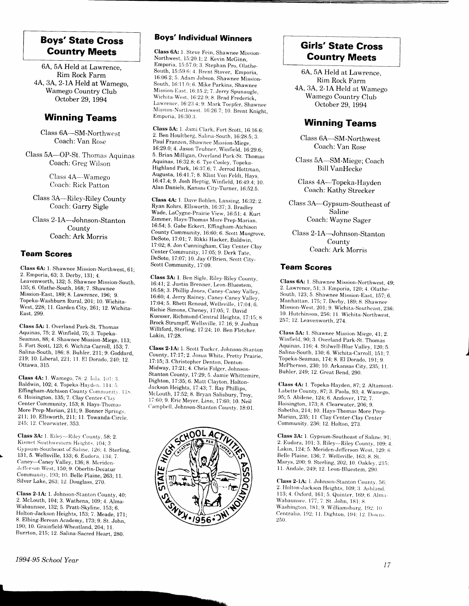## **Boys' State Cross Country Meets**

6A, 5A Held at Lawrence, Rim Rock Farm 4A, 3A, 2-1A Held at Wamego, Wamego Country Club October 29, 1994

#### **Winning Teams**

Class 6A-SM-Northwest Coach: Van Rose

Class 5A-OP-St. Thomas Aquinas Coach: Greg Wilson

> Class 4A-Wamego Coach: Rick Patton

Class 3A-Riley-Riley County Coach: Garry Sigle

Class 2-1A-Johnson-Stanton County Coach: Ark Morris

#### **Team Scores**

Class 6A: 1. Shawnee Mission-Northwest, 61; 2. Emporia, 63; 3. Derby, 131; 4. Leavenworth, 132; 5. Shawnee Mission-South. 135; 6. Olathe-South, 168; 7. Shawnee Mission-East, 189; 8. Lawrence, 196; 9. Topeka-Washburn Rural, 201; 10. Wichita-West, 228; 11. Garden City, 261; 12. Wichita-East, 299.

Class 5A: 1. Overland Park-St. Thomas Aquinas, 75; 2. Winfield, 75; 3. Topeka-Seaman, 88; 4. Shawnee Mission-Miege, 113; 5. Fort Scott, 123; 6. Wichita-Carroll, 153; 7. Salina-South, 186; 8. Buhler, 211; 9. Goddard, 219; 10. Liberal, 221; 11. El Dorado, 240; 12. Ottawa 315

Class 4A: 1. Wamego, 78; 2. Iola. 101: 3. Baldwin, 102; 4. Topeka-Hayden, 114; 5. Effingham-Atchison County Community, 118; 6. Hoisington, 135; 7. Clay Center-Clay Center Community, 153; 8. Hays-Thomas More Prep-Marian, 211; 9. Bonner Springs. 211; 10. Ellsworth, 211; 11. Towanda-Circle. 245; 12. Clearwater, 353

Class 3A: 1. Riley-Riley County, 58; 2. Kismet-Southwestern Heights, 104; 3 Gypsum-Southeast of Saline, 126; 4. Sterling, 131, 5. Wellsville, 133; 6. Eudora, 134; 7. Caney-Caney Valley, 136; 8. Meriden-Jefferson West, 150; 9. Oberlin-Decatur Community, 193; 10. Belle Plaine, 263; 11. Silver Lake, 263; 12. Douglass, 270.

Class 2-1A: 1. Johnson-Stanton County, 40; 2. McLouth, 104; 3. Wathena, 109; 4. Alma-Wabaunsee, 132; 5. Pratt-Skyline, 153; 6. Holton-Jackson Heights, 153; 7. Meade, 171; 8. Elbing-Berean Academy, 173; 9. St. John, 190; 10. Grainfield-Wheatland, 204; 11. Burrton, 215; 12. Salina-Sacred Heart, 280.

## **Boys' Individual Winners**

Class 6A: 1. Steve Fein, Shawnee Mission-Northwest, 15:20.1; 2. Kevin McGinn, Emporia, 15:57.0; 3. Stephan Pro. Olathe-South, 15:59.6: 4. Brent Stover, Emporia, 16:06.2; 5. Adam Jobson, Shawnee Mission-South, 16:11.0; 6. Mike Parkins, Shawnee Mission-East, 16:15.2; 7. Jerry Spunaugle. Wichita-West, 16:22.9; 8. Brad Frederick. Lawrence, 16:23.4; 9. Mark Toepfer, Shawnee Mission-Northwest. 16:26.7; 10. Brent Knight, Emporia, 16:30.3.

Class 5A: 1. Jami Clark, Fort Scott, 16:16.6; 2. Ben Houltberg, Salina-South, 16:28.5; 3. Paul Franzen, Shawnee Mission-Miege, 16:29.0; 4. Jason Teubner, Winfield, 16:29.6; 5. Brian Milligan, Overland Park-St. Thomas Aquinas, 16:32.8; 6. Tye Cooley, Topeka-Highland Park, 16:37.6; 7. Jerrod Hottman, Augusta, 16:41.7; 8. Klint Von Feldt, Hays, 16:47.4; 9. Josh Heptig, Winfield, 16:49.4; 10. Alan Daniels, Kansas City-Turner, 16:52.5.

Class 4A: 1. Dave Bohlen, Lansing, 16:32: 2. Ryan Kohrs, Ellsworth, 16:37; 3. Bradley Wade, LaCygne-Prairie View, 16:51; 4. Kurt Zimmer, Hays-Thomas More Prep-Marian, 16:54, 5. Gabe Eckert, Effingham-Atchison County Community, 16:60; 6. Scott Musgrove, DeSoto, 17:01; 7. Rikki Hacker, Baldwin, 17:02; 8. Jon Cunningham, Clay Center-Clay Center Community, 17:05; 9. Derk Tate, DeSoto, 17:07; 10. Jay O'Brien, Scott City-Scott Community, 17:09.

Class 3A: 1. Ben Sigle, Riley-Riley County, 16:41; 2. Justin Brenner, Leon-Bluestem, 16:58; 3. Phillip Jones, Caney-Caney Valley, 16:60; 4. Jerry Rainey, Caney-Caney Valley. 17:04; 5. Rhett Renoud, Wellsville, 17:04; 6. Richie Simons, Cheney, 17:05; 7. David Kuesser, Richmond-Central Heights, 17:15; 8 Brock Strumpff, Wellsville, 17:16, 9. Joshua Williford, Sterling, 17:24; 10. Ben Fletcher. Lakin, 17:28.

Class 2-1A: 1. Scott Tucker, Johnson-Stanton County, 17:17; 2. Josua White, Pretty Prairie, 17:15; 3. Christopher Denton, Denton-Midway, 17:21; 4. Chris Folger, Johnson-Stanton County, 17:29; 5. Jamie Whittemire, Dighton, 17:35; 6. Matt Clayton, Holton-Jackson Heights, 17:43; 7. Ray Phillips, McLouth, 17:52; 8. Bryan Salisbury, Troy. 17:60; 9. Eric Meyer, Linn, 17:60; 10. Neil Campbell, Johnson-Stanton County, 18:01.



## **Girls' State Cross Country Meets**

6A, 5A Held at Lawrence, Rim Rock Farm 4A, 3A, 2-1A Held at Wamego Wamego Country Club October 29, 1994

### **Winning Teams**

Class 6A-SM-Northwest Coach: Van Rose

Class 5A-SM-Miege; Coach **Bill VanHecke** 

Class 4A-Topeka-Hayden Coach: Kathy Strecker

Class 3A-Gypsum-Southeast of Saline Coach: Wayne Sager

Class 2-1A-Johnson-Stanton County Coach: Ark Morris

#### **Team Scores**

Class 6A: 1. Shawnee Mission-Northwest, 49; 2. Lawrence, 51; 3. Emporia, 120; 4. Olathe-South, 123, 5. Shawnee Mission-East, 157; 6. Manhattan, 175; 7. Derby, 189; 8. Shawnee Mission-West, 201; 9. Wichita-Southeast, 236; 10. Hutchinson, 256; 11. Wichita-Northwest, 257; 12. Leavenworth, 274.

Class 5A: 1. Shawnee Mission-Miege, 41; 2. Winfield, 90; 3. Overland Park-St. Thomas Aquinas, 116; 4. Stilwell-Blue Valley, 120; 5. Salina-South, 130; 6. Wichita-Carroll, 151; 7 Topeka-Seaman, 174; 8. El Dorado, 191; 9. McPherson, 230; 10. Arkansas City, 235; 11. Buhler, 249; 12. Great Bend, 290

Class 4A: 1. Topeka-Hayden, 87; 2. Altamont-Labette County, 87; 3. Paola, 93; 4. Wamego, 95; 5. Abilene, 124; 6. Andover, 172; 7. Hoisington, 173; 8. Clearwater, 206; 9. Sabetha, 214; 10. Hays-Thomas More Prep-Marian, 235; 11 Clay Center-Clay Center Community. 236; 12. Holton, 273.

Class 3A: 1. Gypsum-Southeast of Saline, 91; 2. Eudora, 101; 3. Riley-Riley County, 109; 4. Lakin, 124; 5. Meriden-Jefferson West, 129: 6. Belle Plaine, 136; 7. Wellsville, 163; 8. St. Marys, 200; 9. Sterling, 202; 10. Oakley, 215; 11. Andale, 249; 12. Leon-Bluestem, 290

Class 2-1A: 1. Johnson-Stanton County, 56; 2. Holton-Jackson Heights, 109; 3. Ashland. 113; 4. Oxford, 161; 5. Quinter, 169; 6. Alma-Wabaunsee, 177; 7. St. John, 181; 8. Washington, 181; 9. Williamsburg, 192; 10. Centralia, 192; 11. Dighton, 194; 12. Downs. 250